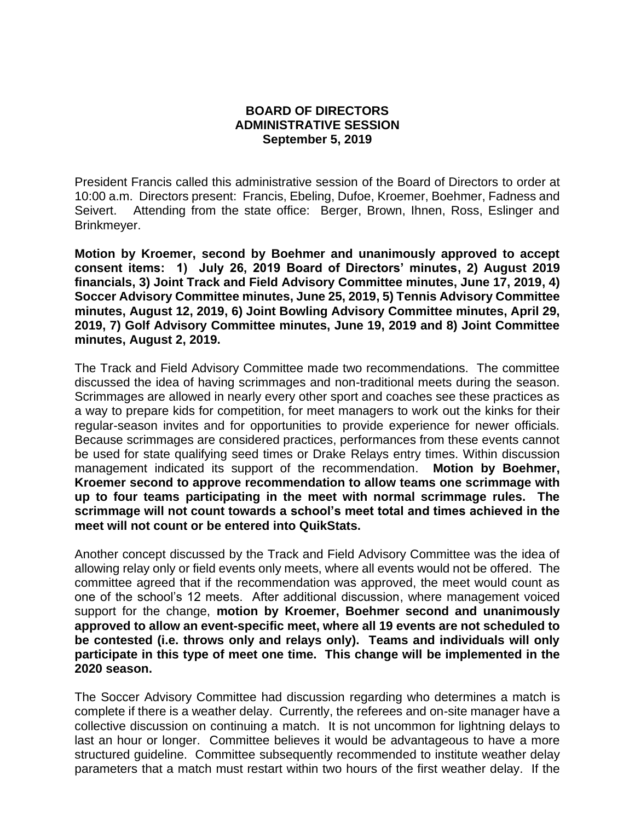## **BOARD OF DIRECTORS ADMINISTRATIVE SESSION September 5, 2019**

President Francis called this administrative session of the Board of Directors to order at 10:00 a.m. Directors present: Francis, Ebeling, Dufoe, Kroemer, Boehmer, Fadness and Seivert. Attending from the state office: Berger, Brown, Ihnen, Ross, Eslinger and Brinkmeyer.

**Motion by Kroemer, second by Boehmer and unanimously approved to accept consent items: 1) July 26, 2019 Board of Directors' minutes, 2) August 2019 financials, 3) Joint Track and Field Advisory Committee minutes, June 17, 2019, 4) Soccer Advisory Committee minutes, June 25, 2019, 5) Tennis Advisory Committee minutes, August 12, 2019, 6) Joint Bowling Advisory Committee minutes, April 29, 2019, 7) Golf Advisory Committee minutes, June 19, 2019 and 8) Joint Committee minutes, August 2, 2019.** 

The Track and Field Advisory Committee made two recommendations. The committee discussed the idea of having scrimmages and non-traditional meets during the season. Scrimmages are allowed in nearly every other sport and coaches see these practices as a way to prepare kids for competition, for meet managers to work out the kinks for their regular-season invites and for opportunities to provide experience for newer officials. Because scrimmages are considered practices, performances from these events cannot be used for state qualifying seed times or Drake Relays entry times. Within discussion management indicated its support of the recommendation. **Motion by Boehmer, Kroemer second to approve recommendation to allow teams one scrimmage with up to four teams participating in the meet with normal scrimmage rules. The scrimmage will not count towards a school's meet total and times achieved in the meet will not count or be entered into QuikStats.**

Another concept discussed by the Track and Field Advisory Committee was the idea of allowing relay only or field events only meets, where all events would not be offered. The committee agreed that if the recommendation was approved, the meet would count as one of the school's 12 meets. After additional discussion, where management voiced support for the change, **motion by Kroemer, Boehmer second and unanimously approved to allow an event-specific meet, where all 19 events are not scheduled to be contested (i.e. throws only and relays only). Teams and individuals will only participate in this type of meet one time. This change will be implemented in the 2020 season.**

The Soccer Advisory Committee had discussion regarding who determines a match is complete if there is a weather delay. Currently, the referees and on-site manager have a collective discussion on continuing a match. It is not uncommon for lightning delays to last an hour or longer. Committee believes it would be advantageous to have a more structured guideline. Committee subsequently recommended to institute weather delay parameters that a match must restart within two hours of the first weather delay. If the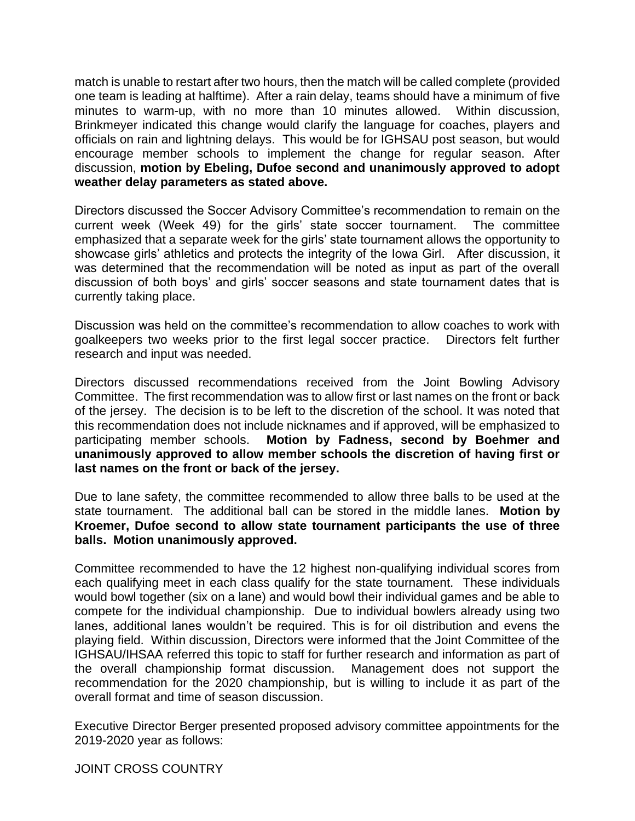match is unable to restart after two hours, then the match will be called complete (provided one team is leading at halftime). After a rain delay, teams should have a minimum of five minutes to warm-up, with no more than 10 minutes allowed. Within discussion, Brinkmeyer indicated this change would clarify the language for coaches, players and officials on rain and lightning delays. This would be for IGHSAU post season, but would encourage member schools to implement the change for regular season. After discussion, **motion by Ebeling, Dufoe second and unanimously approved to adopt weather delay parameters as stated above.**

Directors discussed the Soccer Advisory Committee's recommendation to remain on the current week (Week 49) for the girls' state soccer tournament. The committee emphasized that a separate week for the girls' state tournament allows the opportunity to showcase girls' athletics and protects the integrity of the Iowa Girl. After discussion, it was determined that the recommendation will be noted as input as part of the overall discussion of both boys' and girls' soccer seasons and state tournament dates that is currently taking place.

Discussion was held on the committee's recommendation to allow coaches to work with goalkeepers two weeks prior to the first legal soccer practice. Directors felt further research and input was needed.

Directors discussed recommendations received from the Joint Bowling Advisory Committee. The first recommendation was to allow first or last names on the front or back of the jersey. The decision is to be left to the discretion of the school. It was noted that this recommendation does not include nicknames and if approved, will be emphasized to participating member schools. **Motion by Fadness, second by Boehmer and unanimously approved to allow member schools the discretion of having first or last names on the front or back of the jersey.** 

Due to lane safety, the committee recommended to allow three balls to be used at the state tournament. The additional ball can be stored in the middle lanes. **Motion by Kroemer, Dufoe second to allow state tournament participants the use of three balls. Motion unanimously approved.**

Committee recommended to have the 12 highest non-qualifying individual scores from each qualifying meet in each class qualify for the state tournament. These individuals would bowl together (six on a lane) and would bowl their individual games and be able to compete for the individual championship. Due to individual bowlers already using two lanes, additional lanes wouldn't be required. This is for oil distribution and evens the playing field. Within discussion, Directors were informed that the Joint Committee of the IGHSAU/IHSAA referred this topic to staff for further research and information as part of the overall championship format discussion. Management does not support the recommendation for the 2020 championship, but is willing to include it as part of the overall format and time of season discussion.

Executive Director Berger presented proposed advisory committee appointments for the 2019-2020 year as follows:

JOINT CROSS COUNTRY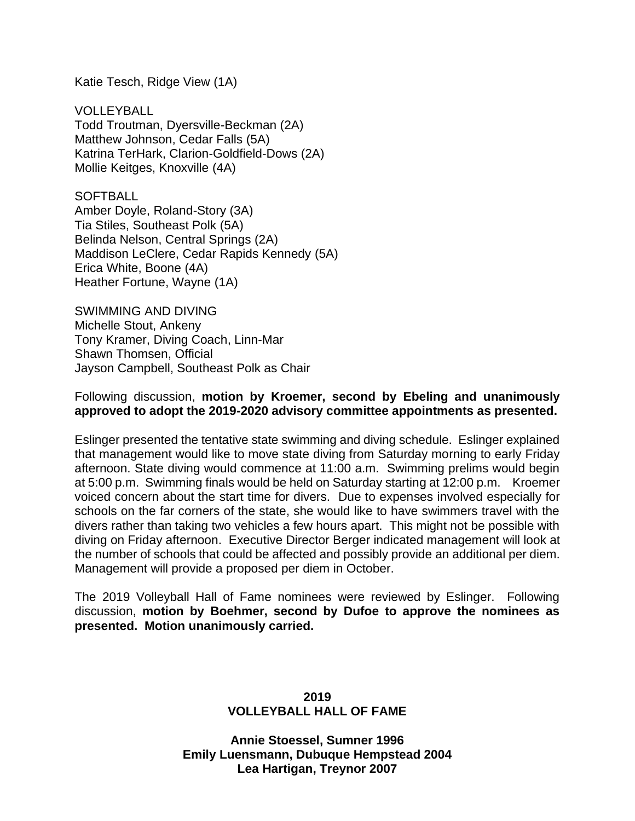Katie Tesch, Ridge View (1A)

VOLLEYBALL Todd Troutman, Dyersville-Beckman (2A) Matthew Johnson, Cedar Falls (5A) Katrina TerHark, Clarion-Goldfield-Dows (2A) Mollie Keitges, Knoxville (4A)

SOFTBALL Amber Doyle, Roland-Story (3A) Tia Stiles, Southeast Polk (5A) Belinda Nelson, Central Springs (2A) Maddison LeClere, Cedar Rapids Kennedy (5A) Erica White, Boone (4A) Heather Fortune, Wayne (1A)

SWIMMING AND DIVING Michelle Stout, Ankeny Tony Kramer, Diving Coach, Linn-Mar Shawn Thomsen, Official Jayson Campbell, Southeast Polk as Chair

## Following discussion, **motion by Kroemer, second by Ebeling and unanimously approved to adopt the 2019-2020 advisory committee appointments as presented.**

Eslinger presented the tentative state swimming and diving schedule. Eslinger explained that management would like to move state diving from Saturday morning to early Friday afternoon. State diving would commence at 11:00 a.m. Swimming prelims would begin at 5:00 p.m. Swimming finals would be held on Saturday starting at 12:00 p.m. Kroemer voiced concern about the start time for divers. Due to expenses involved especially for schools on the far corners of the state, she would like to have swimmers travel with the divers rather than taking two vehicles a few hours apart. This might not be possible with diving on Friday afternoon. Executive Director Berger indicated management will look at the number of schools that could be affected and possibly provide an additional per diem. Management will provide a proposed per diem in October.

The 2019 Volleyball Hall of Fame nominees were reviewed by Eslinger. Following discussion, **motion by Boehmer, second by Dufoe to approve the nominees as presented. Motion unanimously carried.**

# **2019 VOLLEYBALL HALL OF FAME**

**Annie Stoessel, Sumner 1996 Emily Luensmann, Dubuque Hempstead 2004 Lea Hartigan, Treynor 2007**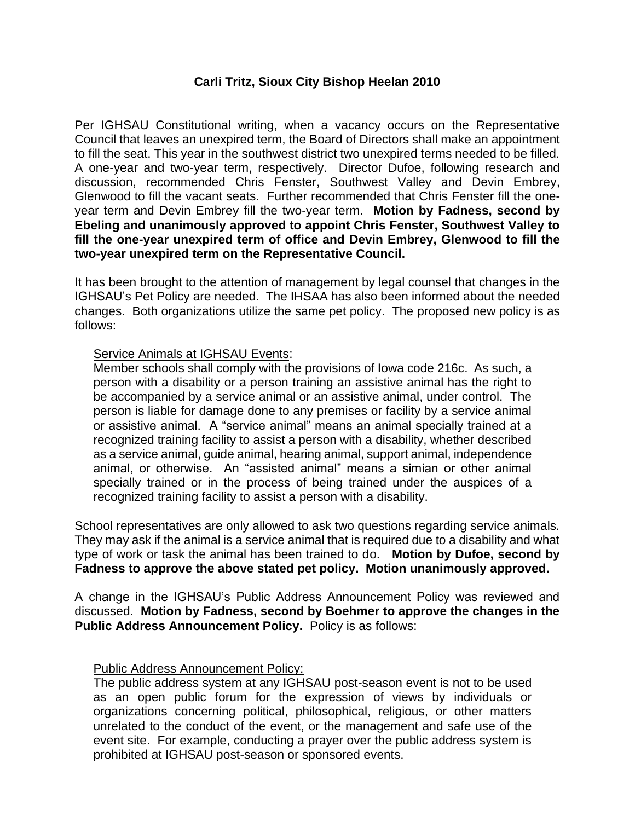## **Carli Tritz, Sioux City Bishop Heelan 2010**

Per IGHSAU Constitutional writing, when a vacancy occurs on the Representative Council that leaves an unexpired term, the Board of Directors shall make an appointment to fill the seat. This year in the southwest district two unexpired terms needed to be filled. A one-year and two-year term, respectively. Director Dufoe, following research and discussion, recommended Chris Fenster, Southwest Valley and Devin Embrey, Glenwood to fill the vacant seats. Further recommended that Chris Fenster fill the oneyear term and Devin Embrey fill the two-year term. **Motion by Fadness, second by Ebeling and unanimously approved to appoint Chris Fenster, Southwest Valley to fill the one-year unexpired term of office and Devin Embrey, Glenwood to fill the two-year unexpired term on the Representative Council.**

It has been brought to the attention of management by legal counsel that changes in the IGHSAU's Pet Policy are needed. The IHSAA has also been informed about the needed changes. Both organizations utilize the same pet policy. The proposed new policy is as follows:

## Service Animals at IGHSAU Events:

Member schools shall comply with the provisions of Iowa code 216c. As such, a person with a disability or a person training an assistive animal has the right to be accompanied by a service animal or an assistive animal, under control. The person is liable for damage done to any premises or facility by a service animal or assistive animal. A "service animal" means an animal specially trained at a recognized training facility to assist a person with a disability, whether described as a service animal, guide animal, hearing animal, support animal, independence animal, or otherwise. An "assisted animal" means a simian or other animal specially trained or in the process of being trained under the auspices of a recognized training facility to assist a person with a disability.

School representatives are only allowed to ask two questions regarding service animals. They may ask if the animal is a service animal that is required due to a disability and what type of work or task the animal has been trained to do. **Motion by Dufoe, second by Fadness to approve the above stated pet policy. Motion unanimously approved.**

A change in the IGHSAU's Public Address Announcement Policy was reviewed and discussed. **Motion by Fadness, second by Boehmer to approve the changes in the Public Address Announcement Policy.** Policy is as follows:

#### Public Address Announcement Policy:

The public address system at any IGHSAU post-season event is not to be used as an open public forum for the expression of views by individuals or organizations concerning political, philosophical, religious, or other matters unrelated to the conduct of the event, or the management and safe use of the event site. For example, conducting a prayer over the public address system is prohibited at IGHSAU post-season or sponsored events.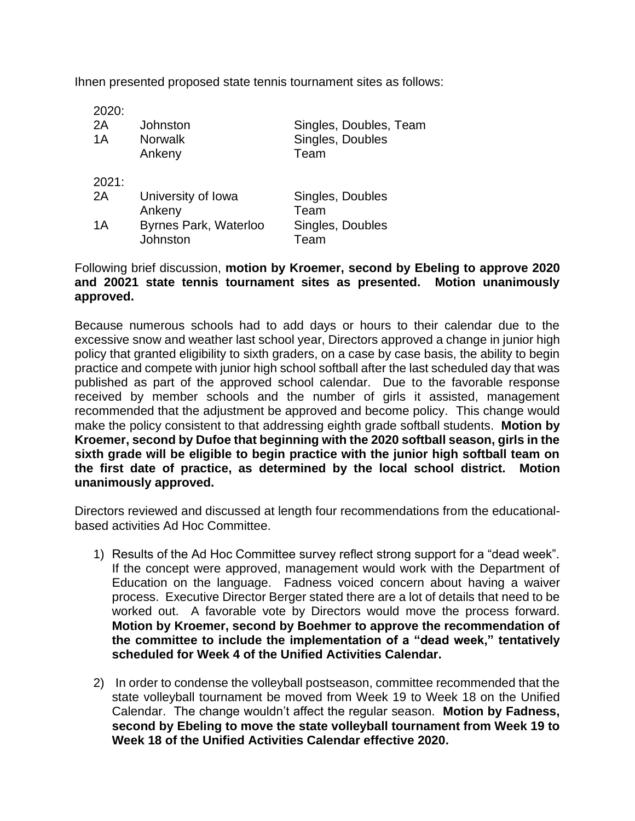Ihnen presented proposed state tennis tournament sites as follows:

| 2020:<br>2A<br>1A | Johnston<br><b>Norwalk</b><br>Ankeny | Singles, Doubles, Team<br>Singles, Doubles<br>Team |
|-------------------|--------------------------------------|----------------------------------------------------|
| 2021:             |                                      |                                                    |
| 2A                | University of Iowa                   | Singles, Doubles<br>Team                           |
| 1A                | Ankeny<br>Byrnes Park, Waterloo      | Singles, Doubles                                   |
|                   | Johnston                             | Team                                               |

## Following brief discussion, **motion by Kroemer, second by Ebeling to approve 2020 and 20021 state tennis tournament sites as presented. Motion unanimously approved.**

Because numerous schools had to add days or hours to their calendar due to the excessive snow and weather last school year, Directors approved a change in junior high policy that granted eligibility to sixth graders, on a case by case basis, the ability to begin practice and compete with junior high school softball after the last scheduled day that was published as part of the approved school calendar. Due to the favorable response received by member schools and the number of girls it assisted, management recommended that the adjustment be approved and become policy. This change would make the policy consistent to that addressing eighth grade softball students. **Motion by Kroemer, second by Dufoe that beginning with the 2020 softball season, girls in the sixth grade will be eligible to begin practice with the junior high softball team on the first date of practice, as determined by the local school district. Motion unanimously approved.**

Directors reviewed and discussed at length four recommendations from the educationalbased activities Ad Hoc Committee.

- 1) Results of the Ad Hoc Committee survey reflect strong support for a "dead week". If the concept were approved, management would work with the Department of Education on the language. Fadness voiced concern about having a waiver process. Executive Director Berger stated there are a lot of details that need to be worked out. A favorable vote by Directors would move the process forward. **Motion by Kroemer, second by Boehmer to approve the recommendation of the committee to include the implementation of a "dead week," tentatively scheduled for Week 4 of the Unified Activities Calendar.**
- 2) In order to condense the volleyball postseason, committee recommended that the state volleyball tournament be moved from Week 19 to Week 18 on the Unified Calendar. The change wouldn't affect the regular season. **Motion by Fadness, second by Ebeling to move the state volleyball tournament from Week 19 to Week 18 of the Unified Activities Calendar effective 2020.**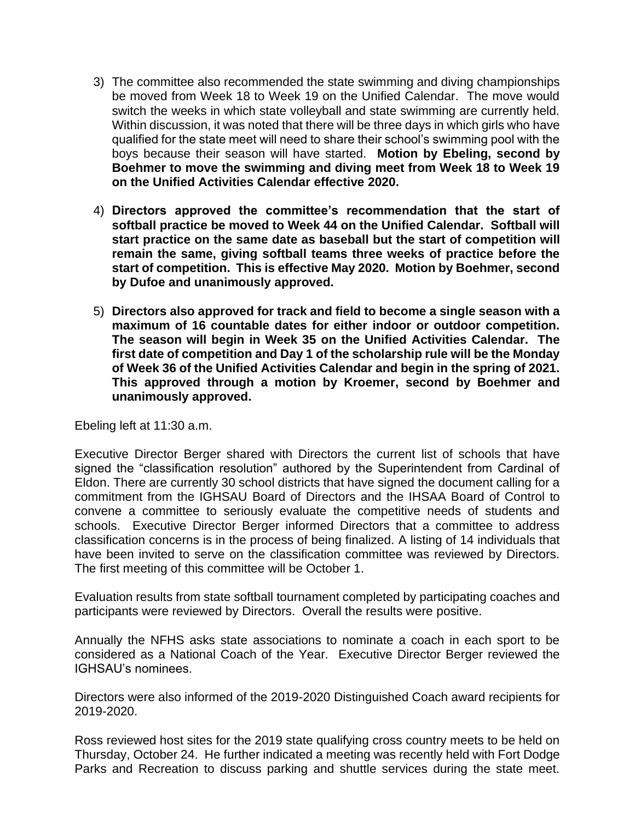- 3) The committee also recommended the state swimming and diving championships be moved from Week 18 to Week 19 on the Unified Calendar. The move would switch the weeks in which state volleyball and state swimming are currently held. Within discussion, it was noted that there will be three days in which girls who have qualified for the state meet will need to share their school's swimming pool with the boys because their season will have started. **Motion by Ebeling, second by Boehmer to move the swimming and diving meet from Week 18 to Week 19 on the Unified Activities Calendar effective 2020.**
- 4) **Directors approved the committee's recommendation that the start of softball practice be moved to Week 44 on the Unified Calendar. Softball will start practice on the same date as baseball but the start of competition will remain the same, giving softball teams three weeks of practice before the start of competition. This is effective May 2020. Motion by Boehmer, second by Dufoe and unanimously approved.**
- 5) **Directors also approved for track and field to become a single season with a maximum of 16 countable dates for either indoor or outdoor competition. The season will begin in Week 35 on the Unified Activities Calendar. The first date of competition and Day 1 of the scholarship rule will be the Monday of Week 36 of the Unified Activities Calendar and begin in the spring of 2021. This approved through a motion by Kroemer, second by Boehmer and unanimously approved.**

Ebeling left at 11:30 a.m.

Executive Director Berger shared with Directors the current list of schools that have signed the "classification resolution" authored by the Superintendent from Cardinal of Eldon. There are currently 30 school districts that have signed the document calling for a commitment from the IGHSAU Board of Directors and the IHSAA Board of Control to convene a committee to seriously evaluate the competitive needs of students and schools. Executive Director Berger informed Directors that a committee to address classification concerns is in the process of being finalized. A listing of 14 individuals that have been invited to serve on the classification committee was reviewed by Directors. The first meeting of this committee will be October 1.

Evaluation results from state softball tournament completed by participating coaches and participants were reviewed by Directors. Overall the results were positive.

Annually the NFHS asks state associations to nominate a coach in each sport to be considered as a National Coach of the Year. Executive Director Berger reviewed the IGHSAU's nominees.

Directors were also informed of the 2019-2020 Distinguished Coach award recipients for 2019-2020.

Ross reviewed host sites for the 2019 state qualifying cross country meets to be held on Thursday, October 24. He further indicated a meeting was recently held with Fort Dodge Parks and Recreation to discuss parking and shuttle services during the state meet.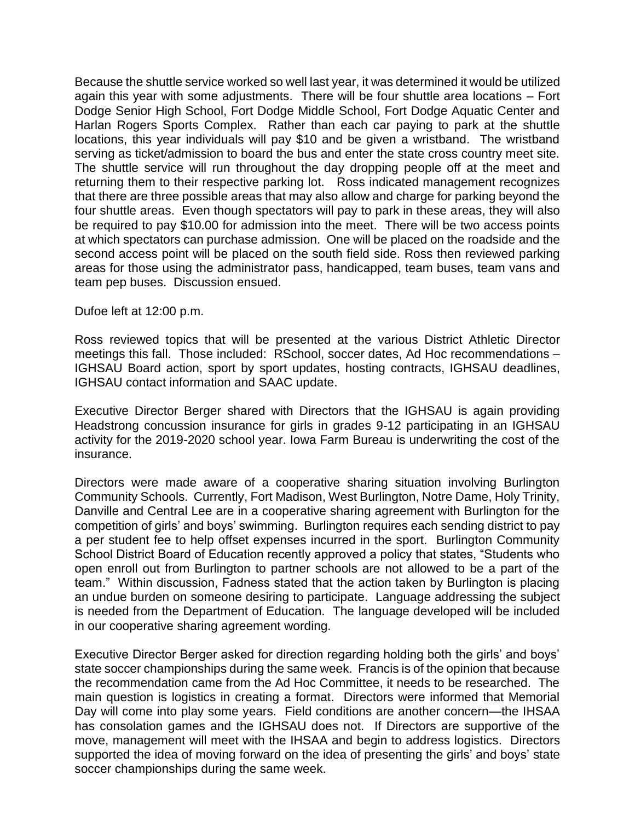Because the shuttle service worked so well last year, it was determined it would be utilized again this year with some adjustments. There will be four shuttle area locations – Fort Dodge Senior High School, Fort Dodge Middle School, Fort Dodge Aquatic Center and Harlan Rogers Sports Complex. Rather than each car paying to park at the shuttle locations, this year individuals will pay \$10 and be given a wristband. The wristband serving as ticket/admission to board the bus and enter the state cross country meet site. The shuttle service will run throughout the day dropping people off at the meet and returning them to their respective parking lot. Ross indicated management recognizes that there are three possible areas that may also allow and charge for parking beyond the four shuttle areas. Even though spectators will pay to park in these areas, they will also be required to pay \$10.00 for admission into the meet. There will be two access points at which spectators can purchase admission. One will be placed on the roadside and the second access point will be placed on the south field side. Ross then reviewed parking areas for those using the administrator pass, handicapped, team buses, team vans and team pep buses. Discussion ensued.

Dufoe left at 12:00 p.m.

Ross reviewed topics that will be presented at the various District Athletic Director meetings this fall. Those included: RSchool, soccer dates, Ad Hoc recommendations – IGHSAU Board action, sport by sport updates, hosting contracts, IGHSAU deadlines, IGHSAU contact information and SAAC update.

Executive Director Berger shared with Directors that the IGHSAU is again providing Headstrong concussion insurance for girls in grades 9-12 participating in an IGHSAU activity for the 2019-2020 school year. Iowa Farm Bureau is underwriting the cost of the insurance.

Directors were made aware of a cooperative sharing situation involving Burlington Community Schools. Currently, Fort Madison, West Burlington, Notre Dame, Holy Trinity, Danville and Central Lee are in a cooperative sharing agreement with Burlington for the competition of girls' and boys' swimming. Burlington requires each sending district to pay a per student fee to help offset expenses incurred in the sport. Burlington Community School District Board of Education recently approved a policy that states, "Students who open enroll out from Burlington to partner schools are not allowed to be a part of the team." Within discussion, Fadness stated that the action taken by Burlington is placing an undue burden on someone desiring to participate. Language addressing the subject is needed from the Department of Education. The language developed will be included in our cooperative sharing agreement wording.

Executive Director Berger asked for direction regarding holding both the girls' and boys' state soccer championships during the same week. Francis is of the opinion that because the recommendation came from the Ad Hoc Committee, it needs to be researched. The main question is logistics in creating a format. Directors were informed that Memorial Day will come into play some years. Field conditions are another concern—the IHSAA has consolation games and the IGHSAU does not. If Directors are supportive of the move, management will meet with the IHSAA and begin to address logistics. Directors supported the idea of moving forward on the idea of presenting the girls' and boys' state soccer championships during the same week.